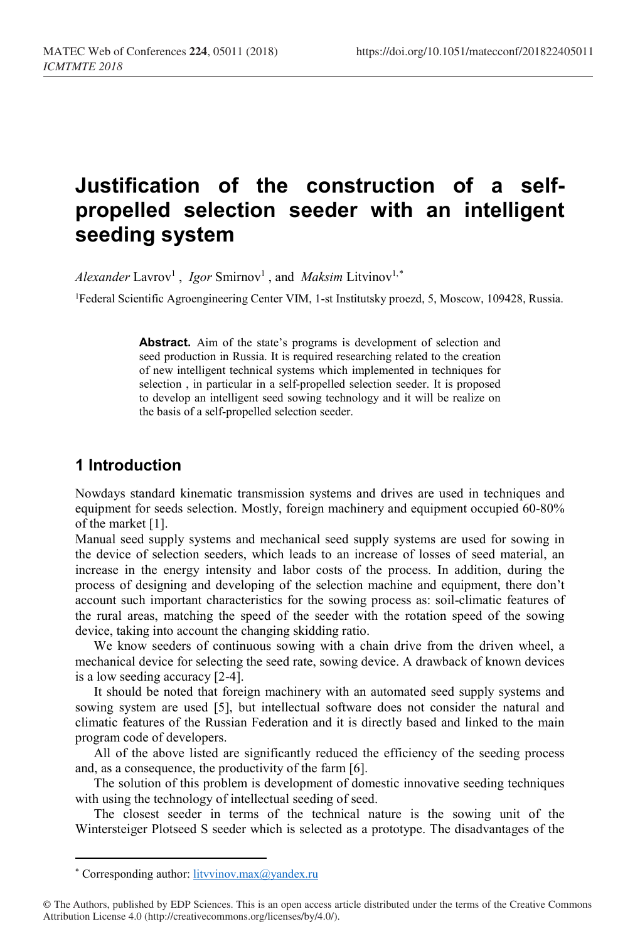# **Justification of the construction of a selfpropelled selection seeder with an intelligent seeding system**

Alexander Lavrov<sup>1</sup>, *Igor* Smirnov<sup>1</sup>, and *Maksim* Litvinov<sup>1,[\\*](#page-0-0)</sup>

<sup>1</sup>Federal Scientific Agroengineering Center VIM, 1-st Institutsky proezd, 5, Moscow, 109428, Russia.

**Abstract.** Aim of the state's programs is development of selection and seed production in Russia. It is required researching related to the creation of new intelligent technical systems which implemented in techniques for selection , in particular in a self-propelled selection seeder. It is proposed to develop an intelligent seed sowing technology and it will be realize on the basis of a self-propelled selection seeder.

### **1 Introduction**

Nowdays standard kinematic transmission systems and drives are used in techniques and equipment for seeds selection. Mostly, foreign machinery and equipment occupied 60-80% of the market [1].

Manual seed supply systems and mechanical seed supply systems are used for sowing in the device of selection seeders, which leads to an increase of losses of seed material, an increase in the energy intensity and labor costs of the process. In addition, during the process of designing and developing of the selection machine and equipment, there don't account such important characteristics for the sowing process as: soil-climatic features of the rural areas, matching the speed of the seeder with the rotation speed of the sowing device, taking into account the changing skidding ratio.

We know seeders of continuous sowing with a chain drive from the driven wheel, a mechanical device for selecting the seed rate, sowing device. A drawback of known devices is a low seeding accuracy [2-4].

It should be noted that foreign machinery with an automated seed supply systems and sowing system are used [5], but intellectual software does not consider the natural and climatic features of the Russian Federation and it is directly based and linked to the main program code of developers.

All of the above listed are significantly reduced the efficiency of the seeding process and, as a consequence, the productivity of the farm [6].

The solution of this problem is development of domestic innovative seeding techniques with using the technology of intellectual seeding of seed.

The closest seeder in terms of the technical nature is the sowing unit of the Wintersteiger Plotseed S seeder which is selected as a prototype. The disadvantages of the

 $\overline{a}$ 

<sup>\*</sup> Corresponding author[: litvvinov.max@yandex.ru](mailto:litvvinov.max@yandex.ru)

<span id="page-0-0"></span><sup>©</sup> The Authors, published by EDP Sciences. This is an open access article distributed under the terms of the Creative Commons Attribution License 4.0 (http://creativecommons.org/licenses/by/4.0/).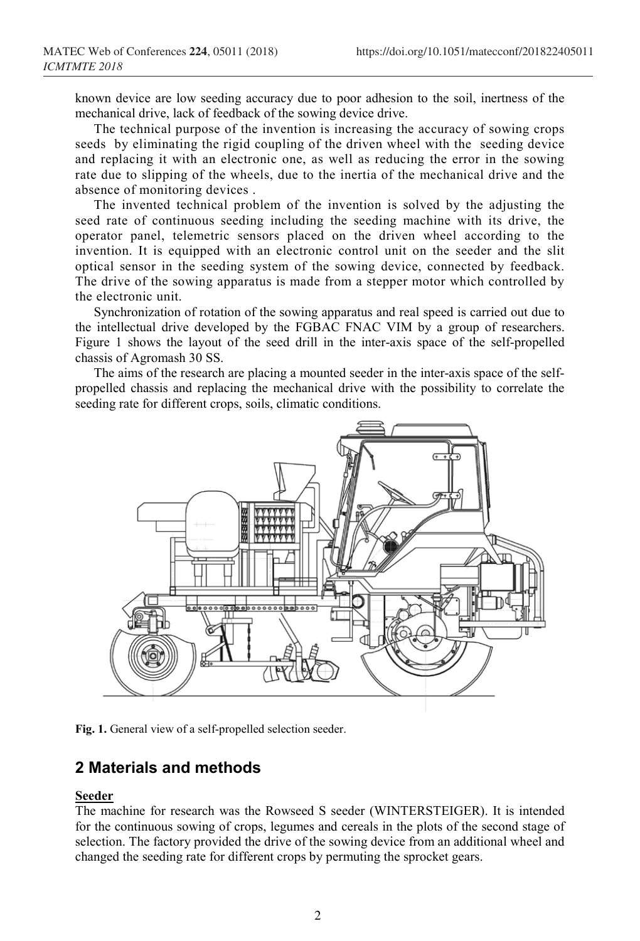known device are low seeding accuracy due to poor adhesion to the soil, inertness of the mechanical drive, lack of feedback of the sowing device drive.

The technical purpose of the invention is increasing the accuracy of sowing crops seeds by eliminating the rigid coupling of the driven wheel with the seeding device and replacing it with an electronic one, as well as reducing the error in the sowing rate due to slipping of the wheels, due to the inertia of the mechanical drive and the absence of monitoring devices .

The invented technical problem of the invention is solved by the adjusting the seed rate of continuous seeding including the seeding machine with its drive, the operator panel, telemetric sensors placed on the driven wheel according to the invention. It is equipped with an electronic control unit on the seeder and the slit optical sensor in the seeding system of the sowing device, connected by feedback. The drive of the sowing apparatus is made from a stepper motor which controlled by the electronic unit.

Synchronization of rotation of the sowing apparatus and real speed is carried out due to the intellectual drive developed by the FGBAC FNAC VIM by a group of researchers. Figure 1 shows the layout of the seed drill in the inter-axis space of the self-propelled chassis of Agromash 30 SS.

The aims of the research are placing a mounted seeder in the inter-axis space of the selfpropelled chassis and replacing the mechanical drive with the possibility to correlate the seeding rate for different crops, soils, climatic conditions.



**Fig. 1.** General view of a self-propelled selection seeder.

### **2 Materials and methods**

#### **Seeder**

The machine for research was the Rowseed S seeder (WINTERSTEIGER). It is intended for the continuous sowing of crops, legumes and cereals in the plots of the second stage of selection. The factory provided the drive of the sowing device from an additional wheel and changed the seeding rate for different crops by permuting the sprocket gears.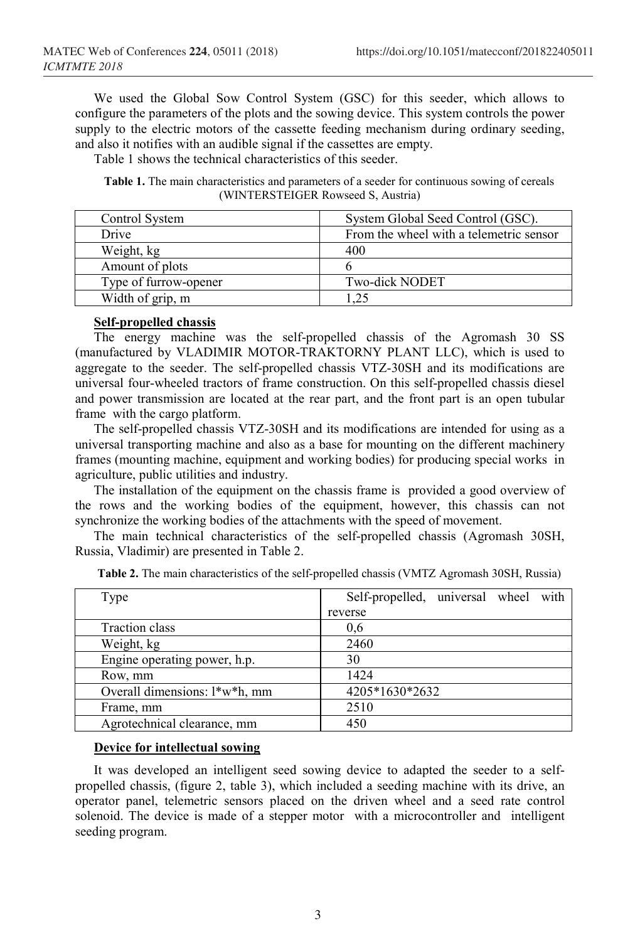We used the Global Sow Control System (GSC) for this seeder, which allows to configure the parameters of the plots and the sowing device. This system controls the power supply to the electric motors of the cassette feeding mechanism during ordinary seeding, and also it notifies with an audible signal if the cassettes are empty.

Table 1 shows the technical characteristics of this seeder.

**Table 1.** The main characteristics and parameters of a seeder for continuous sowing of cereals (WINTERSTEIGER Rowseed S, Austria)

| Control System        | System Global Seed Control (GSC).       |
|-----------------------|-----------------------------------------|
| Drive                 | From the wheel with a telemetric sensor |
| Weight, kg            | 400                                     |
| Amount of plots       |                                         |
| Type of furrow-opener | Two-dick NODET                          |
| Width of grip, m      | 1,25                                    |

#### **Self-propelled chassis**

The energy machine was the self-propelled chassis of the Agromash 30 SS (manufactured by VLADIMIR MOTOR-TRAKTORNY PLANT LLC), which is used to aggregate to the seeder. The self-propelled chassis VTZ-30SH and its modifications are universal four-wheeled tractors of frame construction. On this self-propelled chassis diesel and power transmission are located at the rear part, and the front part is an open tubular frame with the cargo platform.

The self-propelled chassis VTZ-30SH and its modifications are intended for using as a universal transporting machine and also as a base for mounting on the different machinery frames (mounting machine, equipment and working bodies) for producing special works in agriculture, public utilities and industry.

The installation of the equipment on the chassis frame is provided a good overview of the rows and the working bodies of the equipment, however, this chassis can not synchronize the working bodies of the attachments with the speed of movement.

The main technical characteristics of the self-propelled chassis (Agromash 30SH, Russia, Vladimir) are presented in Table 2.

| Type                          | Self-propelled, universal wheel with |
|-------------------------------|--------------------------------------|
|                               | reverse                              |
| Traction class                | 0,6                                  |
| Weight, kg                    | 2460                                 |
| Engine operating power, h.p.  | 30                                   |
| Row, mm                       | 1424                                 |
| Overall dimensions: l*w*h, mm | 4205*1630*2632                       |
| Frame, mm                     | 2510                                 |
| Agrotechnical clearance, mm   | 450                                  |

**Table 2.** The main characteristics of the self-propelled chassis (VMTZ Agromash 30SH, Russia)

### **Device for intellectual sowing**

It was developed an intelligent seed sowing device to adapted the seeder to a selfpropelled chassis, (figure 2, table 3), which included a seeding machine with its drive, an operator panel, telemetric sensors placed on the driven wheel and a seed rate control solenoid. The device is made of a stepper motor with a microcontroller and intelligent seeding program.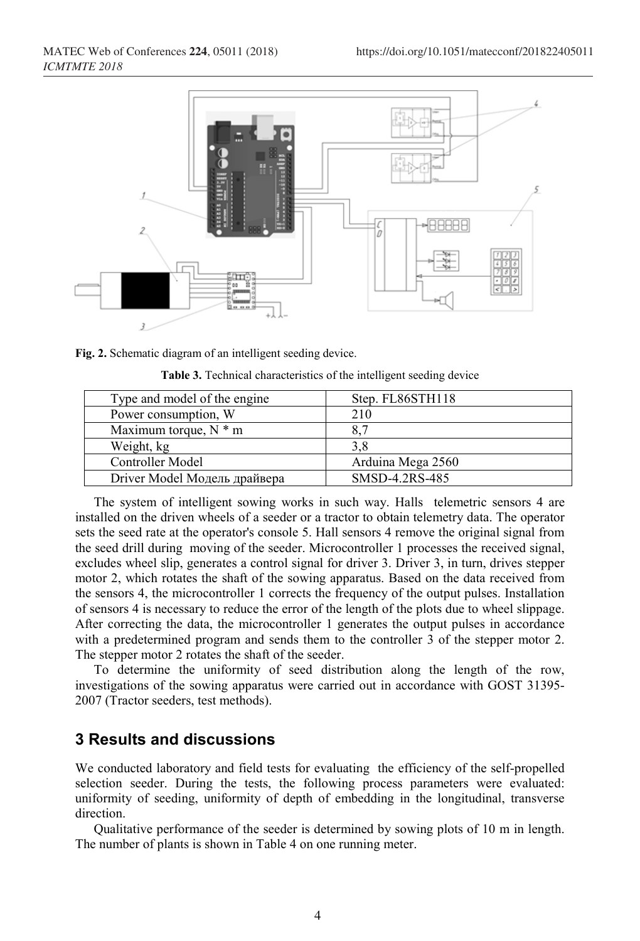



| Table 3. Technical characteristics of the intelligent seeding device |  |  |  |
|----------------------------------------------------------------------|--|--|--|
|----------------------------------------------------------------------|--|--|--|

| Type and model of the engine | Step. FL86STH118  |
|------------------------------|-------------------|
| Power consumption, W         | 210               |
| Maximum torque, $N * m$      | 8.7               |
| Weight, kg                   | 3.8               |
| Controller Model             | Arduina Mega 2560 |
| Driver Model Модель драйвера | SMSD-4.2RS-485    |

The system of intelligent sowing works in such way. Halls telemetric sensors 4 are installed on the driven wheels of a seeder or a tractor to obtain telemetry data. The operator sets the seed rate at the operator's console 5. Hall sensors 4 remove the original signal from the seed drill during moving of the seeder. Microcontroller 1 processes the received signal, excludes wheel slip, generates a control signal for driver 3. Driver 3, in turn, drives stepper motor 2, which rotates the shaft of the sowing apparatus. Based on the data received from the sensors 4, the microcontroller 1 corrects the frequency of the output pulses. Installation of sensors 4 is necessary to reduce the error of the length of the plots due to wheel slippage. After correcting the data, the microcontroller 1 generates the output pulses in accordance with a predetermined program and sends them to the controller 3 of the stepper motor 2. The stepper motor 2 rotates the shaft of the seeder.

To determine the uniformity of seed distribution along the length of the row, investigations of the sowing apparatus were carried out in accordance with GOST 31395- 2007 (Tractor seeders, test methods).

### **3 Results and discussions**

We conducted laboratory and field tests for evaluating the efficiency of the self-propelled selection seeder. During the tests, the following process parameters were evaluated: uniformity of seeding, uniformity of depth of embedding in the longitudinal, transverse direction.

Qualitative performance of the seeder is determined by sowing plots of 10 m in length. The number of plants is shown in Table 4 on one running meter.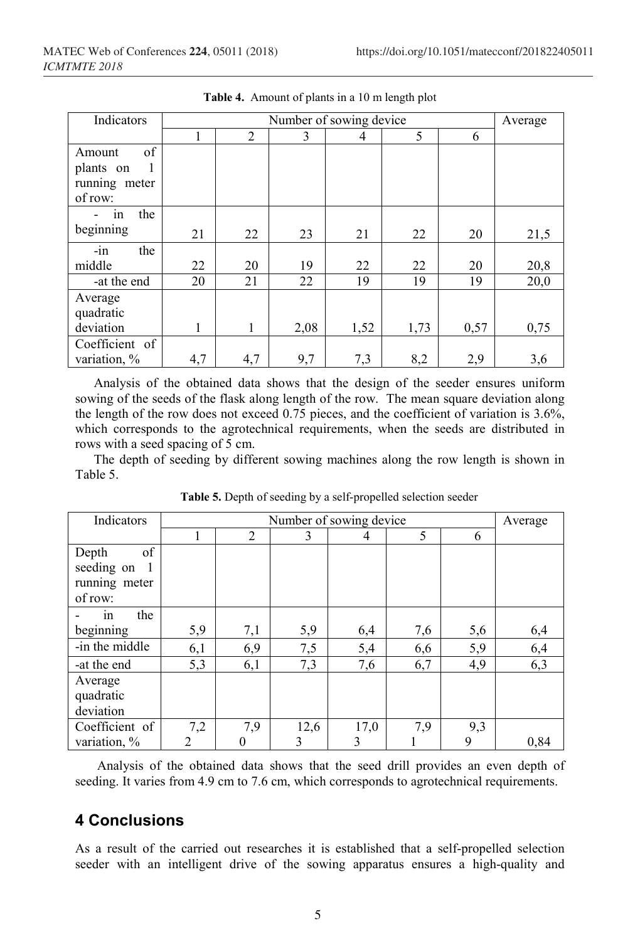| Indicators                                                 | Number of sowing device |     |      |      |      | Average |      |
|------------------------------------------------------------|-------------------------|-----|------|------|------|---------|------|
|                                                            |                         | 2   | 3    | 4    | 5    | 6       |      |
| of<br>Amount<br>plants on<br>1<br>running meter<br>of row: |                         |     |      |      |      |         |      |
| the<br>1n<br>beginning                                     | 21                      | 22  | 23   | 21   | 22   | 20      | 21,5 |
| $-in$<br>the<br>middle                                     | 22                      | 20  | 19   | 22   | 22   | 20      | 20,8 |
| -at the end                                                | 20                      | 21  | 22   | 19   | 19   | 19      | 20,0 |
| Average<br>quadratic<br>deviation                          | 1                       | 1   | 2,08 | 1,52 | 1,73 | 0,57    | 0,75 |
| Coefficient of<br>variation, %                             | 4,7                     | 4,7 | 9,7  | 7,3  | 8,2  | 2,9     | 3,6  |

**Table 4.** Amount of plants in a 10 m length plot

Analysis of the obtained data shows that the design of the seeder ensures uniform sowing of the seeds of the flask along length of the row. The mean square deviation along the length of the row does not exceed 0.75 pieces, and the coefficient of variation is 3.6%, which corresponds to the agrotechnical requirements, when the seeds are distributed in rows with a seed spacing of 5 cm.

The depth of seeding by different sowing machines along the row length is shown in Table 5.

| Indicators     | Number of sowing device |     |      |      |     | Average |      |
|----------------|-------------------------|-----|------|------|-----|---------|------|
|                |                         | 2   | 3    | 4    | 5   | 6       |      |
| of<br>Depth    |                         |     |      |      |     |         |      |
| seeding on 1   |                         |     |      |      |     |         |      |
| running meter  |                         |     |      |      |     |         |      |
| of row:        |                         |     |      |      |     |         |      |
| the<br>1n      |                         |     |      |      |     |         |      |
| beginning      | 5,9                     | 7,1 | 5,9  | 6,4  | 7,6 | 5,6     | 6,4  |
| -in the middle | 6,1                     | 6,9 | 7,5  | 5,4  | 6,6 | 5,9     | 6,4  |
| -at the end    | 5,3                     | 6,1 | 7,3  | 7,6  | 6,7 | 4,9     | 6,3  |
| Average        |                         |     |      |      |     |         |      |
| quadratic      |                         |     |      |      |     |         |      |
| deviation      |                         |     |      |      |     |         |      |
| Coefficient of | 7,2                     | 7,9 | 12,6 | 17,0 | 7,9 | 9,3     |      |
| variation, %   | $\mathfrak{D}$          |     | 3    | 3    |     | 9       | 0,84 |

**Table 5.** Depth of seeding by a self-propelled selection seeder

Analysis of the obtained data shows that the seed drill provides an even depth of seeding. It varies from 4.9 cm to 7.6 cm, which corresponds to agrotechnical requirements.

## **4 Conclusions**

As a result of the carried out researches it is established that a self-propelled selection seeder with an intelligent drive of the sowing apparatus ensures a high-quality and